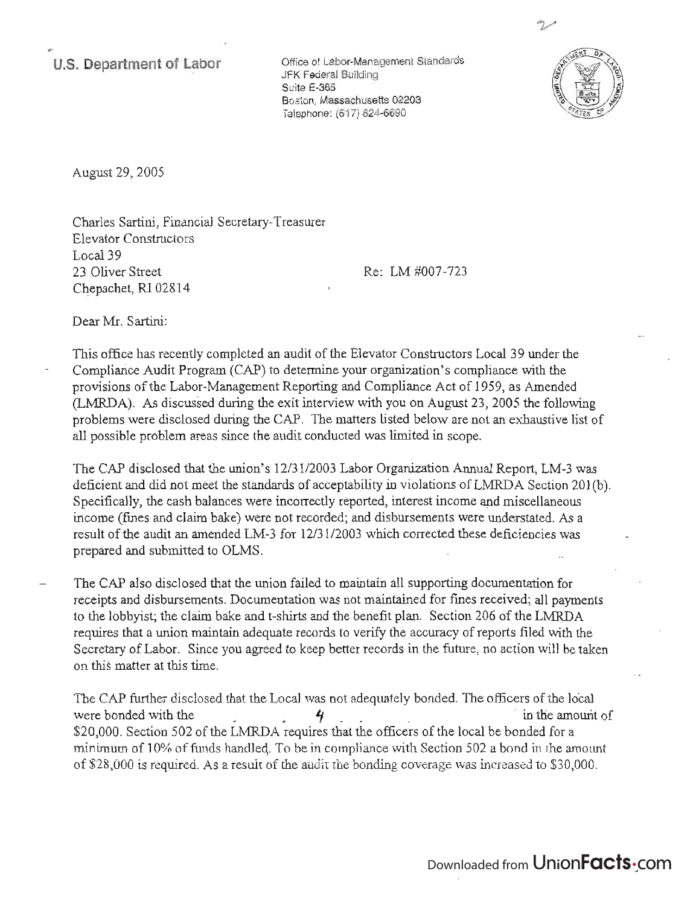**u.s. Department of Labor** 

Office of Labor-Management Standards JFK Federal Building Suite E-365 Boston, Massachusetts 02203 Telephone: (617) 624-6690



August 29, 2005

Charles Sartini, Financial Secretary-Treasurer Elevator Constructors Local 39 23 Oliver Street Chepachet, RI 02814

Re: LM #007-723

Dear Mr. Sartini:

This office has recently completed an audit of the Elevator Constructors Local 39 under the Compliance Audit Program (CAP) to determine your organization's compliance with the provisions of the Labor-Management Reporting and Compliance Act of 1959, as Amended (LMRDA). As discussed during the exit interview with you on August 23,2005 the following problems were disclosed during the CAP. The matters listed below are not an exhaustive list of all possible problem areas since the audit conducted was limited in scope.

The CAP disclosed that the union's *12/3112003* Labor Organization Annual Report, LM-3 was deficient and did not meet the standards of acceptability in violations of LMRDA Section 201(b). Specifically, the cash balances were incorrectly reported, interest income and miscellaneous income (fmes and claim bake) were not recorded; and disbursements were understated. As a result of the audit an amended LM-3 for *12/3112003* which corrected these deficiencies was prepared and submitted to OLMS.

The CAP also disclosed that the union failed to maintain all supporting documentation for receipts and disbursements. Documentation was not maintained for fmes received; all payments to the lobbyist; the claim bake and t-shirts and the benefit plan. Section 206 of the LMRDA requires that a union maintain adequate records to verify the accuracy of reports filed with the Secretary of Labor. Since you agreed to keep better records in the future, no action will be taken on this matter at this time.

The CAP further disclosed that the Local was not adequately bonded. The officers of the local were bonded with the  $\frac{4}{10}$   $\frac{4}{10}$  in the amount of \$20,000. Section 502 of the LMRDA requires that the officers of the local be bonded for a minimum of 10% of funds handleq. To be in compliance with Section 502 a bond in the amount of \$28,000 is required. As a result of the audit the bonding coverage was increased to \$30,000.